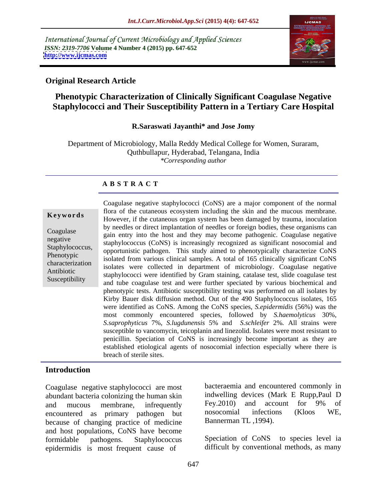International Journal of Current Microbiology and Applied Sciences *ISSN: 2319-7706* **Volume 4 Number 4 (2015) pp. 647-652 <http://www.ijcmas.com>**



#### **Original Research Article**

# **Phenotypic Characterization of Clinically Significant Coagulase Negative Staphylococci and Their Susceptibility Pattern in a Tertiary Care Hospital**

### **R.Saraswati Jayanthi\* and Jose Jomy**

Department of Microbiology, Malla Reddy Medical College for Women, Suraram, Quthbullapur, Hyderabad, Telangana, India *\*Corresponding author*

#### **A B S T R A C T**

Susceptibility

Coagulase negative staphylococci (CoNS) are a major component of the normal flora of the cutaneous ecosystem including the skin and the mucous membrane. **Keywords** Home of the cutaneous cosystem including the skin and the macous memorial.<br>However, if the cutaneous organ system has been damaged by trauma, inoculation by needles or direct implantation of needles or foreign bodies, these organisms can Coagulase<br>
gain entry into the host and they may become pathogenic. Coagulase negative staphylococcus (CoNS) is increasingly recognized as significant nosocomial and<br>Staphylococcus (CoNS) is increasingly recognized as significant nosocomial and Staphylococcus, suphylococcus (CoNS) is increasingly recognized as significant insoccomial and opportunistic pathogen. This study aimed to phenotypically characterize CoNS Phenotypic<br>
isolated from various clinical samples. A total of 165 clinically significant CoNS isolates were collected in department of microbiology. Coagulase negative characterization Antibiotic<br>
staphylococci were identified by Gram staining, catalase test, slide coagulase test and tube coagulase test and were further speciated by various biochemical and phenotypic tests. Antibiotic susceptibility testing was performed on all isolates by Kirby Bauer disk diffusion method. Out of the 490 Staphylococcus isolates, 165 were identified as CoNS. Among the CoNS species, *S.epidermidis* (56%) was the most commonly encountered species, followed by *S.haemolyticus* 30%, *S.saprophyticus* 7%, *S.lugdunensis* 5% and *S.schleifer* 2%*.* All strains were susceptible to vancomycin, teicoplanin and linezolid. Isolates were most resistant to penicillin. Speciation of CoNS is increasingly become important as they are established etiological agents of nosocomial infection especially where there is breach of sterile sites.

#### **Introduction**

Coagulase negative staphylococci are most abundant bacteria colonizing the human skin indwelling devices (Mark E Rupp, Paul D<br>and mucous membrane infrequently Fey. 2010) and account for 9% of and mucous membrane, infrequently Fey.2010) and account for 9% of encountered as primary pathogen but nosocomial infections (Kloos WE, because of changing practice of medicine and host populations, CoNS have become formidable pathogens. Staphylococcus Speciation of CoNS to species level ia epidermidis is most frequent cause of

bacteraemia and encountered commonly in indwelling devices (Mark E Rupp,Paul D Fey.2010) and account for 9% of nosocomial infections (Kloos WE, Bannerman TL ,1994).

difficult by conventional methods, as many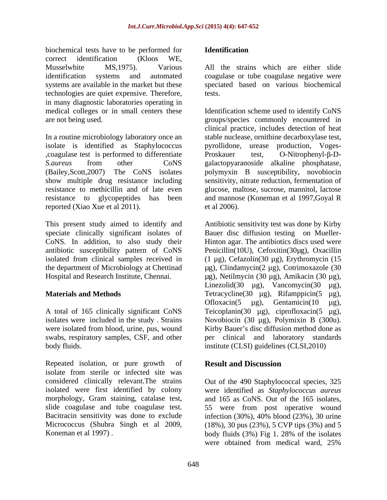biochemical tests have to be performed for **Identification** correct identification (Kloos WE, Musselwhite MS,1975). Various All the strains which are either slide identification systems and automated coagulase or tube coagulase negative were systems are available in the market but these technologies are quiet expensive. Therefore, in many diagnostic laboratories operating in

In a routine microbiology laboratory once an isolate is identified as Staphylococcus ,coagulase test is performed to differentiate *S.aureus* from other CoNS galactopyaranoside alkaline phosphatase, (Bailey,Scott,2007). The CoNS isolates polymyxin B susceptibility, novobiocin show multiple drug resistance including sensitivity, nitrate reduction, fermentation of resistance to methicillin and of late even glucose, maltose, sucrose, mannitol, lactose resistance to glycopeptides has been and mannose (Koneman et al 1997,Goyal R reported (Xiao Xue et al 2011).

were isolated from blood, urine, pus, wound swabs, respiratory samples, CSF, and other

Repeated isolation, or pure growth of **Result and Discussion** isolate from sterile or infected site was considered clinically relevant.The strains Out of the 490 Staphylococcal species, 325 isolated were first identified by colony were identified as *Staphylococcus aureus* morphology, Gram staining, catalase test, and 165 as CoNS. Out of the 165 isolates, slide coagulase and tube coagulase test. 55 were from post operative wound Bacitracin sensitivity was done to exclude infection (30%), 40% blood (23%), 30 urine Micrococcus (Shubra Singh et al  $2009$ ,  $(18\%)$ , 30 pus  $(23\%)$ , 5 CVP tips  $(3\%)$  and 5

#### **Identification**

speciated based on various biochemical tests.

medical colleges or in small centers these Identification scheme used to identify CoNS are not being used. groups/species commonly encountered in clinical practice, includes detection of heat stable nuclease, ornithine decarboxylase test, pyrollidone, urease production, Voges- Proskauer test, O-Nitrophenyl- $\beta$ -Det al 2006).

This present study aimed to identify and Antibiotic sensitivity test was done by Kirby speciate clinically significant isolates of Bauer disc diffusion testing on Mueller- CoNS. In addition, to also study their Hinton agar. The antibiotics discs used were antibiotic susceptibility pattern of CoNS Penicillin(10U), Cefoxitin(30µg), Oxacillin isolated from clinical samples received in (1 µg), Cefazolin(30 µg), Erythromycin (15 the department of Microbiology at Chettinad μg), Clindamycin(2 μg), Cotrimoxazole (30 Hospital and Research Institute, Chennai. µg), Netilmycin (30 µg), Amikacin (30 µg), **Materials and Methods Tetracycline**(30 μg), Rifamppicin(5 μg), **Naterials and Methods** A total of 165 clinically significant CoNS Teicoplanin(30 µg), ciprofloxacin(5 µg), isolates were included in the study . Strains Novobiocin (30 µg), Polymixin B (300u). body fluids. institute (CLSI) guidelines (CLSI,2010) Linezolid(30  $\mu$ g), Vancomycin(30  $\mu$ g), Ofloxacin(5  $\mu$ g), Gentamicin(10  $\mu$ g), Kirby Bauer's disc diffusion method done as per clinical and laboratory standards

## **Result and Discussion**

Koneman et al 1997) . body fluids (3%) Fig 1. 28% of the isolates were obtained from medical ward, 25%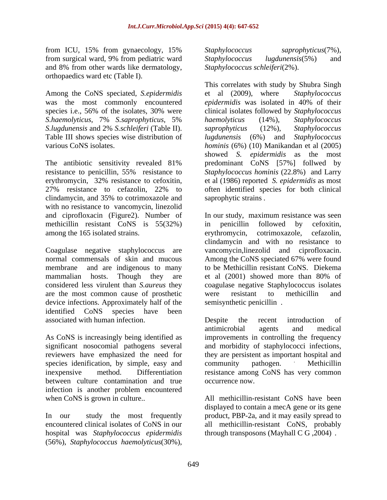from ICU, 15% from gynaecology, 15% Staphylococcus saprophyticus(7%), from surgical ward, 9% from pediatric ward Staphylococcus lugdunensis(5%) and and 8% from other wards like dermatology, orthopaedics ward etc (Table I).

Among the CoNS speciated, *S.epidermidis* was the most commonly encountered *epidermidis* was isolated in 40% of their *S.haemolyticus*, 7% *S.saprophyticus*, 5% *S.lugdunensis* and 2% *S.schleiferi* (Table II). Table III shows species wise distribution of lugdunensis (6%) and Staphylococcus

The antibiotic sensitivity revealed 81% clindamycin, and 35% to cotrimoxazole and with no resistance to vancomycin, linezolid methicillin resistant CoNS is 55(32%) in penicillin followed by cefoxitin, among the 165 isolated strains. erythromycin, cotrimoxazole, cefazolin,

mammalian hosts. Though they are et al (2001) showed more than 80% of are the most common cause of prosthetic device infections. Approximately half of the identified CoNS species have been associated with human infection. Despite the recent introduction of

significant nosocomial pathogens several and morbidity of staphylococci infections, reviewers have emphasized the need for they are persistent as important hospital and species idenification, by simple, easy and community pathogen. Methicillin between culture contamination and true infection is another problem encountered

hospital was *Staphylococcus epidermidis* (56%), *Staphylococcus haemolyticus*(30%),

*Staphylococcus saprophyticus*(7%)*, Staphylococcus lugdunensis*(5%) and *Staphylococcus schleiferi*(2%).

species i.e., 56% of the isolates, 30% were clinical isolates followed by *Staphylococcus*  various CoNS isolates. *hominis* (6%) (10) Manikandan et al (2005) resistance to penicillin, 55% resistance to *Staphylococcus hominis* (22.8%) and Larry erythromycin, 32% resistance to cefoxitin, et al (1986) reported *S. epidermidis* as most 27% resistance to cefazolin, 22% to This correlates with study by Shubra Singh et al (2009), where *epidermidis* was isolated in 40% of their *haemolyticus* (14%), *Staphylococcus saprophyticus* (12%)*, Staphylococcus lugdunensis* (6%) and *Staphylococcus*  showed *S. epidermidis* as the most predominant CoNS [57%] follwed by often identified species for both clinical saprophytic strains *.*

and ciprofloxacin (Figure2). Number of In our study, maximum resistance was seen Coagulase negative staphylococcus are vancomycin,linezolid and ciprofloxacin. normal commensals of skin and mucous Among the CoNS speciated 67% were found membrane and are indigenous to many to be Methicillin resistant CoNS. Diekema considered less virulent than *S.aureus* they coagulase negative Staphylococcus isolates in penicillin followed by cefoxitin, erythromycin, cotrimoxazole, cefazolin, clindamycin and with no resistance to et al (2001) showed more than 80% of were resistant to methicillin and semisynthetic penicillin .

As CoNS is increasingly being identified as improvements in controlling the frequency inexpensive method. Differentiation resistance among CoNS has very common Despite the recent introduction of antimicrobial agents and medical and morbidity of staphylococci infections,<br>they are persistent as important hospital and community pathogen. . Methicillin occurrence now.

when CoNS is grown in culture.. All methicillin-resistant CoNS have been In our study the most frequently product, PBP-2a, and it may easily spread to encountered clinical isolates of CoNS in our all methicillin-resistant CoNS, probably displayed to contain a mecA gene or its gene through transposons (Mayhall C G ,2004) .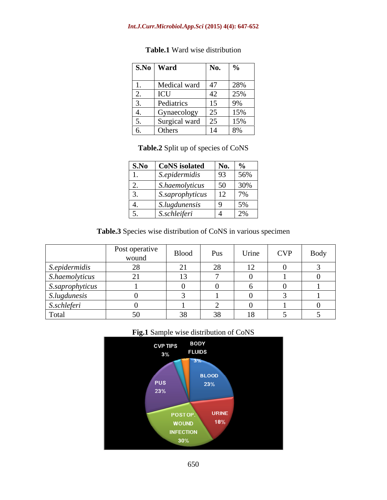#### *Int.J.Curr.Microbiol.App.Sci* **(2015) 4(4): 647-652**

| $\vert$ S.No $\vert$ Ward                                           | No. $\frac{6}{10}$ |  |  |  |  |
|---------------------------------------------------------------------|--------------------|--|--|--|--|
| Medical ward 47 28%<br>ICU 42 25%                                   |                    |  |  |  |  |
|                                                                     |                    |  |  |  |  |
| Pediatrics                                                          | $15$ 9%            |  |  |  |  |
|                                                                     |                    |  |  |  |  |
| 4. Gynaecology 25 15%<br>5. Surgical ward 25 15%<br>6. Others 14 8% |                    |  |  |  |  |
|                                                                     |                    |  |  |  |  |

## **Table.1** Ward wise distribution

**Table.2** Split up of species of CoNS

| S.No CoNS isolated No. %                             |                                                            |  |
|------------------------------------------------------|------------------------------------------------------------|--|
| $\left $ S.epidermidis $\left $ 93 $\right $ 56%     |                                                            |  |
|                                                      |                                                            |  |
| 2. S.haemolyticus 50 30%<br>3. S.saprophyticus 12 7% |                                                            |  |
| 4. S.lugdunensis                                     | $\begin{array}{ c c c } \hline 9 & 5\% \hline \end{array}$ |  |
| $\big $ S.schleiferi                                 | $\left  \begin{array}{ccc} 4 & 2 \end{array} \right $      |  |

**Table.3** Species wise distribution of CoNS in various specimen

|                        | Post operative<br>wound | Blood | Pus            | Urine                         | <b>CVP</b> | Body |
|------------------------|-------------------------|-------|----------------|-------------------------------|------------|------|
| S.epidermidis          |                         |       | $\Omega$<br>20 | $1^{\circ}$<br>$\overline{ }$ |            |      |
| S.haemolyticus         | $\bigcap$ 1             |       |                |                               |            |      |
| S.saprophyticus        |                         |       |                |                               |            |      |
| S.lugdunesis<br>$\sim$ |                         |       |                |                               |            |      |
| S. <i>schleferi</i>    |                         |       |                |                               |            |      |
| Total                  |                         |       | 38             | 18                            |            |      |

### **Fig.1** Sample wise distribution of CoNS

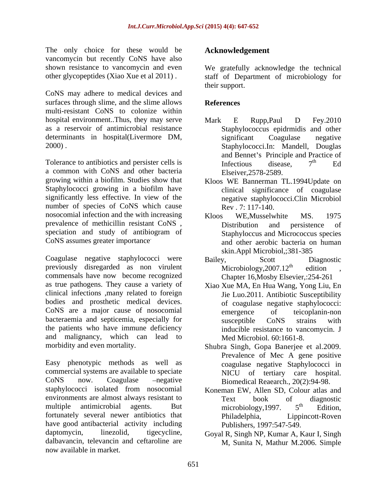The only choice for these would be vancomycin but recently CoNS have also shown resistance to vancomycin and even We gratefully acknowledge the technical

CoNS may adhere to medical devices and surfaces through slime, and the slime allows **References** multi-resistant CoNS to colonize within hospital environment..Thus, they may serve Mark E Rupp, Paul D Fey.2010 determinants in hospital(Livermore DM, significant Coagulase negative

Tolerance to antibiotics and persister cells is  $\qquad$  Infectious disease.  $7<sup>th</sup>$  Ed a common with CoNS and other bacteria growing within a biofilm. Studies show that Kloos WE Bannerman TL.1994Update on Staphylococci growing in a biofilm have significantly less effective. In view of the number of species of CoNS which cause nosocomial infection and the with increasing  $K$ loos WE.Musselwhite MS. 1975 prevalence of methicillin resistant CoNS, Distribution and persistence of speciation and study of antibiogram of

Coagulase negative staphylococci were Bailey, Scott Diagnostic previously disregarded as non virulent Microbiology, 2007.12<sup>th</sup> edition commensals have now become recognized as true pathogens. They cause a variety of Xiao Xue MA, En Hua Wang, Yong Liu, En clinical infections ,many related to foreign bodies and prosthetic medical devices. CoNS are a major cause of nosocomial bacteraemia and septicemia, especially for susceptible CoNS strains with the patients who have immune deficiency and malignancy, which can lead to

Easy phenotypic methods as well as commercial systems are available to speciate NICU of tertiary care hospital. CoNS now. Coagulase – negative Biomedical Reaearch., 20(2):94-98. staphylococci isolated from nosocomial Koneman EW, Allen SD, Colour atlas and environments are almost always resistant to Text book of diagnostic multiple antimicrobial agents. But microbiology, 1997. 5<sup>th</sup> Edition, fortunately several newer antibiotics that Philadelphia, have good antibacterial activity including daptomycin, linezolid, tigecycline, Goyal R, Singh NP, Kumar A, Kaur I, Singh dalbavancin, televancin and ceftaroline are M, Sunita N, Mathur M.2006. Simplenow available in market.

## **Acknowledgement**

other glycopeptides (Xiao Xue et al 2011) . staff of Department of microbiology for their support.

#### **References**

- as a reservoir of antimicrobial resistance Staphylococcus epidrmidis and other 2000) . Staphylococci.In: Mandell, Douglas Mark E Rupp,Paul D Fey.2010 significant Coagulase negative and Bennet's Principle and Practice of Infectious disease,  $7<sup>th</sup>$  Ed th Ed Elseiver,2578-2589.
	- clinical significance of coagulase negative staphylococci.Clin Microbiol Rev . 7: 117-140.
- CoNS assumes greater importance and other aerobic bacteria on human Kloos WE,Musselwhite MS. 1975 Distribution and persistence of Staphyloccus and Micrococcus species skin.Appl Microbiol,;381-385
	- Bailey, Scott Diagnostic Microbiology,  $2007.12^{\text{th}}$  edition, edition , Chapter 16,Mosby Elsevier,:254-261
	- Jie Luo.2011. Antibiotic Susceptibility of coagulase negative staphylococci: emergence of teicoplanin-non susceptible CoNS strains with inducible resistance to vancomycin. J Med Microbiol. 60:1661-8.
- morbidity and even mortality. Shubra Singh, Gopa Banerjee et al.2009. Prevalence of Mec A gene positive coagulase negative Staphylococci in NICU of tertiary care hospital.
	- Text book of diagnostic microbiology, 1997.  $5<sup>th</sup>$  Edition, th Edition, Lippincott-Roven Publishers, 1997:547-549.
	-